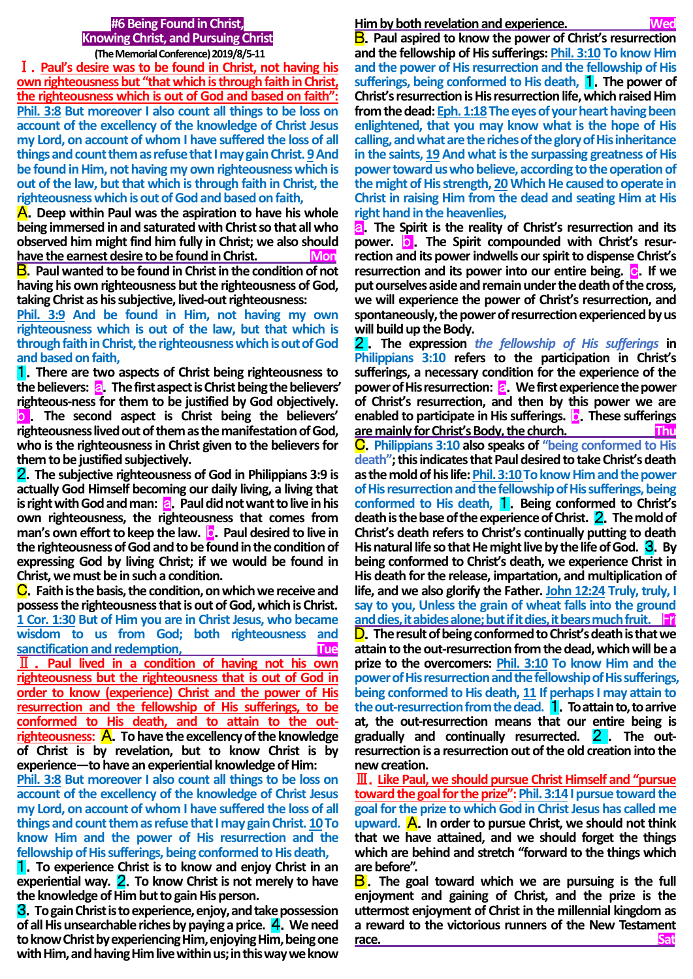## **#6 Being Found in Christ, Knowing Christ, and Pursuing Christ (The Memorial Conference) 2019/8/5-11**

Ⅰ.**Paul's desire was to be found in Christ, not having his own righteousness but "that which is through faith in Christ, the righteousness which is out of God and based on faith": Phil. 3:8 But moreover I also count all things to be loss on account of the excellency of the knowledge of Christ Jesus my Lord, on account of whom I have suffered the loss of all things and count them as refuse that I may gain Christ. 9And be found in Him, not having my own righteousness which is out of the law, but that which is through faith in Christ, the righteousness which is out of God and based on faith,**

A.**Deep within Paul was the aspiration to have his whole being immersed in and saturated with Christ so that all who observed him might find him fully in Christ; we also should**  have the earnest desire to be found in Christ. Mon

B.**Paul wanted to be found in Christ in the condition of not having his own righteousness but the righteousness of God, taking Christ as his subjective, lived-out righteousness:** 

**Phil. 3:9 And be found in Him, not having my own righteousness which is out of the law, but that which is through faith in Christ, the righteousness which is out of God and based on faith,**

1.**There are two aspects of Christ being righteousness to the believers:** a.**The first aspect is Christ being the believers' righteous-ness for them to be justified by God objectively.** b . **The second aspect is Christ being the believers' righteousness lived out of them as the manifestation of God, who is the righteousness in Christ given to the believers for them to be justified subjectively.**

2.**The subjective righteousness of God in Philippians 3:9 is actually God Himself becoming our daily living, a living that is right with God and man: a.** Paul did not want to live in his **own righteousness, the righteousness that comes from man's** own effort to keep the law. **D.** Paul desired to live in **the righteousness of God and to be found in the condition of expressing God by living Christ; if we would be found in Christ, we must be in such a condition.**

C.**Faith is the basis, the condition, on which we receive and possess the righteousness that is out of God, which is Christ. 1 Cor. 1:30 But of Him you are in Christ Jesus, who became wisdom to us from God; both righteousness and sanctification and redemption, Tue and Tue** Ⅱ . **Paul lived in a condition of having not his own righteousness but the righteousness that is out of God in order to know (experience) Christ and the power of His resurrection and the fellowship of His sufferings, to be conformed to His death, and to attain to the outrighteousness:** A.**To have the excellency of the knowledge of Christ is by revelation, but to know Christ is by experience—to have an experiential knowledge of Him:** 

**Phil. 3:8 But moreover I also count all things to be loss on account of the excellency of the knowledge of Christ Jesus my Lord, on account of whom I have suffered the loss of all things and count them as refuse that I may gain Christ. 10To know Him and the power of His resurrection and the fellowship of His sufferings, being conformed to His death,**

1.**To experience Christ is to know and enjoy Christ in an experiential way.** 2.**To know Christ is not merely to have the knowledge of Him but to gain His person.**

3.**To gain Christ is to experience, enjoy, and take possession of all His unsearchable riches by paying a price.** 4.**We need to know Christ by experiencing Him, enjoying Him, being one with Him, and having Him live within us; in this way we know** 

# **Him by both revelation and experience.**

B.**Paul aspired to know the power of Christ's resurrection and the fellowship of His sufferings: Phil. 3:10 To know Him and the power of His resurrection and the fellowship of His sufferings, being conformed to His death,** 1.**The power of Christ's resurrection is His resurrection life, which raised Him from the dead: Eph. 1:18The eyes of your heart having been enlightened, that you may know what is the hope of His calling, and what are the riches of the glory of His inheritance in the saints, 19 And what is the surpassing greatness of His power toward us who believe, according to the operation of the might of His strength, 20Which He caused to operate in Christ in raising Him from the dead and seating Him at His right hand in the heavenlies,**

a.**The Spirit is the reality of Christ's resurrection and its**  power. **D** The Spirit compounded with Christ's resur**rection and its power indwells our spirit to dispense Christ's resurrection and its power into our entire being. C. If we put ourselves aside and remain under the death of the cross, we will experience the power of Christ's resurrection, and spontaneously, the power of resurrection experienced by us will build up the Body.**

2 . **The expression** *the fellowship of His sufferings* **in Philippians 3:10 refers to the participation in Christ's sufferings, a necessary condition for the experience of the power of His resurrection: a.** We first experience the power **of Christ's resurrection, and then by this power we are enabled to participate in His sufferings.** b.**These sufferings are mainly for Christ's Body, the church.** C.**Philippians 3:10 also speaks of "being conformed to His death"; this indicates that Paul desired to take Christ's death as the mold of his life: Phil. 3:10 To know Him and the power of His resurrection and the fellowship of His sufferings, being conformed to His death,** 1.**Being conformed to Christ's death is the base of the experience of Christ.** 2.**The mold of Christ's death refers to Christ's continually putting to death His natural life so that He might live by the life of God.** 3.**By being conformed to Christ's death, we experience Christ in His death for the release, impartation, and multiplication of life, and we also glorify the Father. John 12:24 Truly, truly, I say to you, Unless the grain of wheat falls into the ground and dies, it abides alone; but if it dies, it bears much fruit.** Fr D.**The result of being conformed to Christ's death is that we attain to the out-resurrection from the dead, which will be a prize to the overcomers: Phil. 3:10 To know Him and the power of His resurrection and the fellowship of His sufferings, being conformed to His death, 11 If perhaps I may attain to the out-resurrection from the dead.** 1.**To attain to, to arrive at, the out-resurrection means that our entire being is gradually and continually resurrected.** 2 . **The outresurrection is a resurrection out of the old creation into the new creation.**

Ⅲ.**Like Paul, we should pursue Christ Himself and "pursue toward the goal for the prize": Phil. 3:14I pursue toward the goal for the prize to which God in Christ Jesus has called me upward.** A.**In order to pursue Christ, we should not think that we have attained, and we should forget the things which are behind and stretch "forward to the things which**  are before".

**B**. The goal toward which we are pursuing is the full **enjoyment and gaining of Christ, and the prize is the uttermost enjoyment of Christ in the millennial kingdom as a reward to the victorious runners of the New Testament**  <u>race.</u> Sat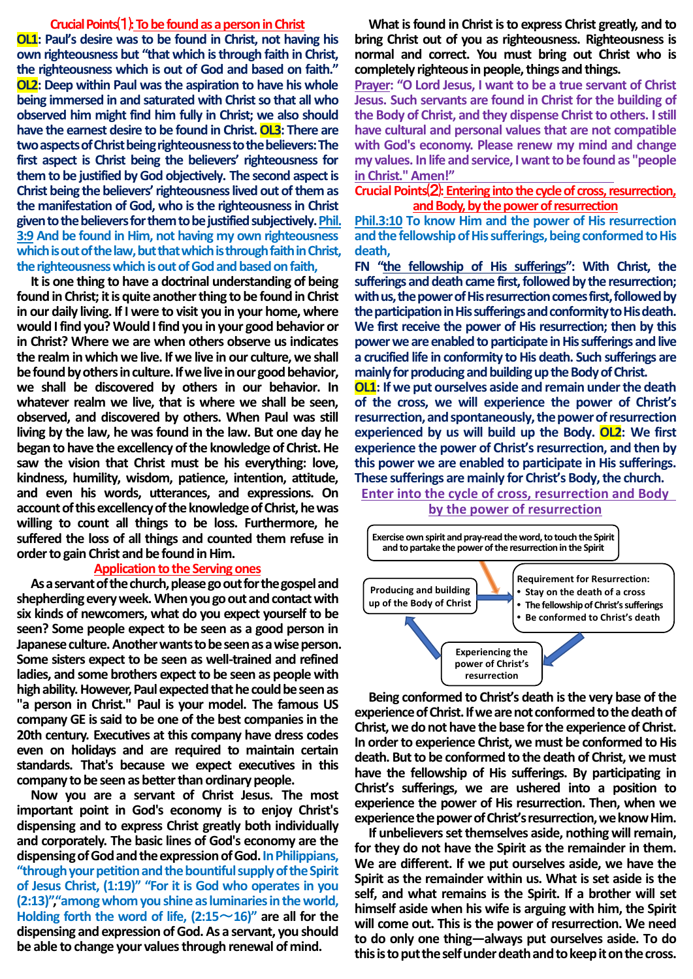## **Crucial Points**⑴**:To be found as a person in Christ**

**OL1: Paul's desire was to be found in Christ, not having his own righteousness but "that which is through faith in Christ, the righteousness which is out of God and based on faith." OL2: Deep within Paul was the aspiration to have his whole being immersed in and saturated with Christ so that all who observed him might find him fully in Christ; we also should have the earnest desire to be found in Christ. OL3: There are two aspects of Christ being righteousness to the believers:The first aspect is Christ being the believers' righteousness for them to be justified by God objectively. The second aspect is Christ being the believers' righteousness lived out of them as the manifestation of God, who is the righteousness in Christ given to the believers for them to be justified subjectively.Phil. 3:9 And be found in Him, not having my own righteousness which is out of the law, but that which is through faith in Christ, the righteousness which is out of God and based on faith,**

**It is one thing to have a doctrinal understanding of being found in Christ; it is quite another thing to be found in Christ in our daily living. If I were to visit you in your home, where would I find you? Would I find you in your good behavior or in Christ? Where we are when others observe us indicates the realm in which we live. If we live in our culture, we shall be found by othersin culture. If we live in our good behavior, we shall be discovered by others in our behavior. In whatever realm we live, that is where we shall be seen, observed, and discovered by others. When Paul was still living by the law, he was found in the law. But one day he began to have the excellency of the knowledge of Christ. He saw the vision that Christ must be his everything: love, kindness, humility, wisdom, patience, intention, attitude, and even his words, utterances, and expressions. On account of this excellency of theknowledge of Christ, he was willing to count all things to be loss. Furthermore, he suffered the loss of all things and counted them refuse in order to gain Christ and be found in Him.**

#### **Application to the Serving ones**

**As a servant of the church, please go out for the gospel and shepherdingevery week.When you go out and contactwith six kinds of newcomers, what do you expect yourself to be seen? Some people expect to be seen as a good person in Japanese culture.Another wants to be seen as a wise person. Some sisters expect to be seen as well-trained and refined ladies, and some brothers expect to be seen as people with high ability.However, Paul expected that he could be seen as "a person in Christ." Paul is your model. The famous US company GE is said to be one of the best companies in the 20th century. Executives at this company have dress codes even on holidays and are required to maintain certain standards. That's because we expect executives in this company to be seen as better than ordinary people.**

**Now you are a servant of Christ Jesus. The most important point in God's economy is to enjoy Christ's dispensing and to express Christ greatly both individually and corporately. The basic lines of God's economy are the dispensingof God and the expression of God.In Philippians, "through your petition and the bountiful supply of the Spirit of Jesus Christ, (1:19)" "For it is God who operates in you (2:13)","among whom you shine as luminaries in the world, Holding forth the word of life,**  $(2:15 \sim 16)$ **" are all for the dispensing and expression of God.As a servant, you should be able to change your values through renewal of mind.**

**What is found in Christ is to express Christ greatly, and to bring Christ out of you as righteousness. Righteousness is normal and correct. You must bring out Christ who is completely righteous in people, things and things.**

**Prayer: "O Lord Jesus, I want to be a true servant of Christ Jesus. Such servants are found in Christ for the building of the Body of Christ, and they dispense Christ to others. I still have cultural and personal values that are not compatible with God's economy. Please renew my mind and change my values. In life and service, I want to be found as "people in Christ."Amen!"** 

## **Crucial Points**⑵**: Entering into the cycle of cross, resurrection, and Body, by the power of resurrection**

**Phil.3:10 To know Him and the power of His resurrection and the fellowship of His sufferings, being conformed to His death,**

**FN "the fellowship of His sufferings": With Christ, the sufferings and death came first, followed by the resurrection; with us, the power of His resurrection comes first, followed by the participation in His sufferings and conformity to His death. We first receive the power of His resurrection; then by this power we are enabled to participate in His sufferings and live a crucified life in conformity to His death. Such sufferings are mainly for producing and building up the Body of Christ.**

**OL1: If we put ourselves aside and remain under the death of the cross, we will experience the power of Christ's resurrection, and spontaneously,the power of resurrection experienced by us will build up the Body. OL2: We first experience the power of Christ's resurrection, and then by this power we are enabled to participate in His sufferings. These sufferings are mainly for Christ's Body, the church.**

**Enter into the cycle of cross, resurrection and Body by the power of resurrection**



**Being conformed to Christ's death is the very base of the experience of Christ. If we are not conformed to the death of Christ, we do not have the base for the experience of Christ. In order to experience Christ, we must be conformed to His death. But to be conformed to the death of Christ, we must have the fellowship of His sufferings. By participating in Christ's sufferings, we are ushered into a position to experience the power of His resurrection. Then, when we experience the power of Christ's resurrection, we know Him.**

**If unbelievers set themselves aside, nothing will remain, for they do not have the Spirit as the remainder in them. We are different. If we put ourselves aside, we have the Spirit as the remainder within us. What is set aside is the self, and what remains is the Spirit. If a brother will set himself aside when his wife is arguing with him, the Spirit will come out. This is the power of resurrection. We need to do only one thing—always put ourselves aside. To do this is to put the self under death and to keep it on the cross.**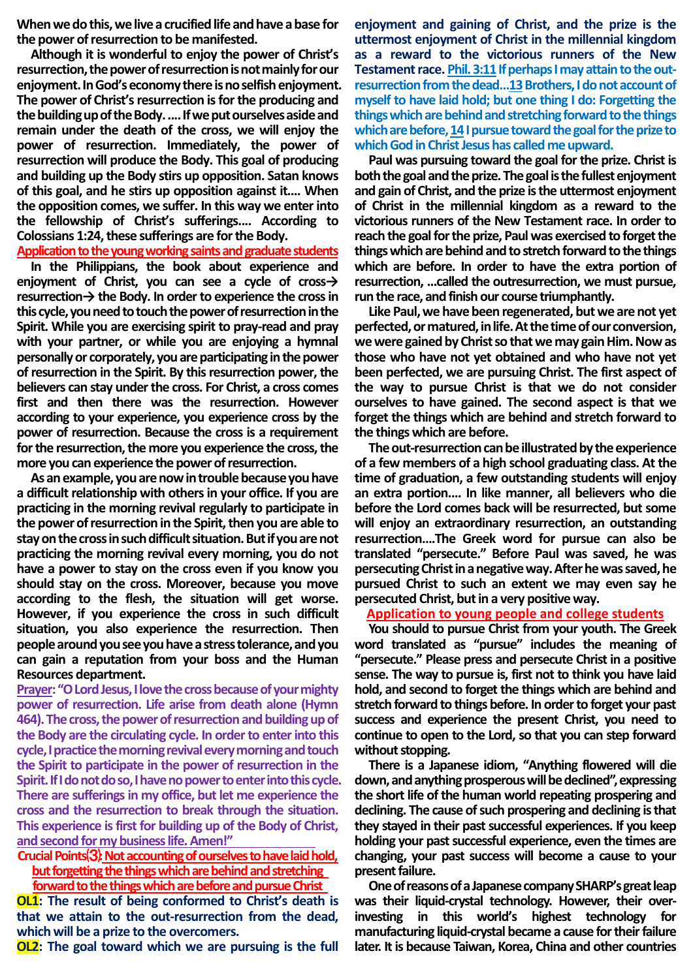**When we dothis, we live a crucified life and have a base for the power of resurrection to be manifested.**

**Although it is wonderful to enjoy the power of Christ's**  resurrection, the power of resurrection is not mainly for our **enjoyment. In God's economythere is no selfish enjoyment. The power of Christ's resurrection is for the producing and the building up of the Body. .... If we put ourselvesaside and remain under the death of the cross, we will enjoy the power of resurrection. Immediately, the power of resurrection will produce the Body. This goal of producing and building up the Body stirs up opposition. Satan knows of this goal, and he stirs up opposition against it.... When the opposition comes, we suffer. In this way we enter into the fellowship of Christ's sufferings.... According to Colossians 1:24, these sufferings are for the Body.**

**Application to the young working saints and graduate students**

**In the Philippians, the book about experience and enjoyment of Christ, you can see a cycle of cross→ resurrection→ the Body. In order to experience the cross in this cycle, you need to touch the power of resurrection in the Spirit. While you are exercising spirit to pray-read and pray with your partner, or while you are enjoying a hymnal personally or corporately, you are participating in the power of resurrection in the Spirit. By this resurrection power, the believers can stay under the cross. For Christ, a cross comes first and then there was the resurrection. However according to your experience, you experience cross by the power of resurrection. Because the cross is a requirement for the resurrection, the more you experience the cross, the more you can experience the power of resurrection.**

**As an example, you are now in trouble because you have a difficult relationship with others in your office. If you are practicing in the morning revival regularly to participate in the power of resurrection in the Spirit, then you are able to stay on the cross in such difficult situation. But if you are not practicing the morning revival every morning, you do not have a power to stay on the cross even if you know you should stay on the cross. Moreover, because you move according to the flesh, the situation will get worse. However, if you experience the cross in such difficult situation, you also experience the resurrection. Then people around you see you have a stress tolerance, and you can gain a reputation from your boss and the Human Resources department.**

**Prayer:"O Lord Jesus, I love the cross because of your mighty power of resurrection. Life arise from death alone (Hymn 464). The cross, the power of resurrection and building up of the Body are the circulating cycle. In order to enter into this cycle, I practicethemorning revival every morning and touch the Spirit to participate in the power of resurrection in the Spirit. If I do not do so, I have no power to enter into this cycle. There are sufferings in my office, but let me experience the cross and the resurrection to break through the situation. This experience is first for building up of the Body of Christ, and second for my business life. Amen!"** 

**Crucial Points**⑶**:Not accounting of ourselves to have laid hold, but forgetting the things which are behind and stretching** 

**forward to the things which are before and pursue Christ OL1: The result of being conformed to Christ's death is that we attain to the out-resurrection from the dead, which will be a prize to the overcomers.**

**OL2: The goal toward which we are pursuing is the full** 

**enjoyment and gaining of Christ, and the prize is the uttermost enjoyment of Christ in the millennial kingdom as a reward to the victorious runners of the New** Testament race. Phil. 3:11 If perhaps I may attain to the out**resurrection from the dead…13Brothers, I do not account of myself to have laid hold; but one thing I do: Forgetting the things which are behind and stretching forward to the things which are before, 14I pursue toward the goal for the prize to which God in Christ Jesus has called me upward.**

**Paul was pursuing toward the goal for the prize. Christ is both the goal and the prize. The goal is the fullest enjoyment and gain of Christ, and the prize is the uttermost enjoyment of Christ in the millennial kingdom as a reward to the victorious runners of the New Testament race. In order to**  reach the goal for the prize, Paul was exercised to forget the **things which are behind and to stretch forward to the things which are before. In order to have the extra portion of resurrection, ...called the outresurrection, we must pursue, run the race, and finish our course triumphantly.**

**Like Paul, we have been regenerated, but we are not yet perfected, or matured,in life. At the time of our conversion, we were gained by Christ so that we may gain Him. Now as those who have not yet obtained and who have not yet been perfected, we are pursuing Christ. The first aspect of the way to pursue Christ is that we do not consider ourselves to have gained. The second aspect is that we forget the things which are behind and stretch forward to the thingswhich are before.** 

**The out-resurrection can be illustrated by the experience of a few members of a high school graduating class. At the time of graduation, a few outstanding students will enjoy an extra portion.... In like manner, all believers who die before the Lord comes back will be resurrected, but some will enjoy an extraordinary resurrection, an outstanding resurrection….The Greek word for pursue can also be translated "persecute." Before Paul was saved, he was persecuting Christ in a negative way. After he was saved, he pursued Christ to such an extent we may even say he persecuted Christ, but in a very positive way.**

**Application to young people and college students**

**You should to pursue Christ from your youth. The Greek word translated as "pursue" includes the meaning of "persecute." Please press and persecute Christ in a positive sense. The way to pursue is, first not to think you have laid hold, and second to forget the things which are behind and stretch forward to things before. In order to forget your past success and experience the present Christ, you need to continue to open to the Lord, so that you can step forward without stopping.**

**There is a Japanese idiom, "Anything flowered will die down, and anything prosperous will be declined", expressing the short life of the human world repeating prospering and declining. The cause of such prospering and declining is that they stayed in their past successful experiences. If you keep holding your past successful experience, even the times are changing, your past success will become a cause to your present failure.**

**One of reasons of aJapanese company SHARP's great leap was their liquid-crystal technology. However, their overinvesting in this world's highest technology for manufacturing liquid-crystal became a cause for their failure later. It is because Taiwan, Korea, China and other countries**